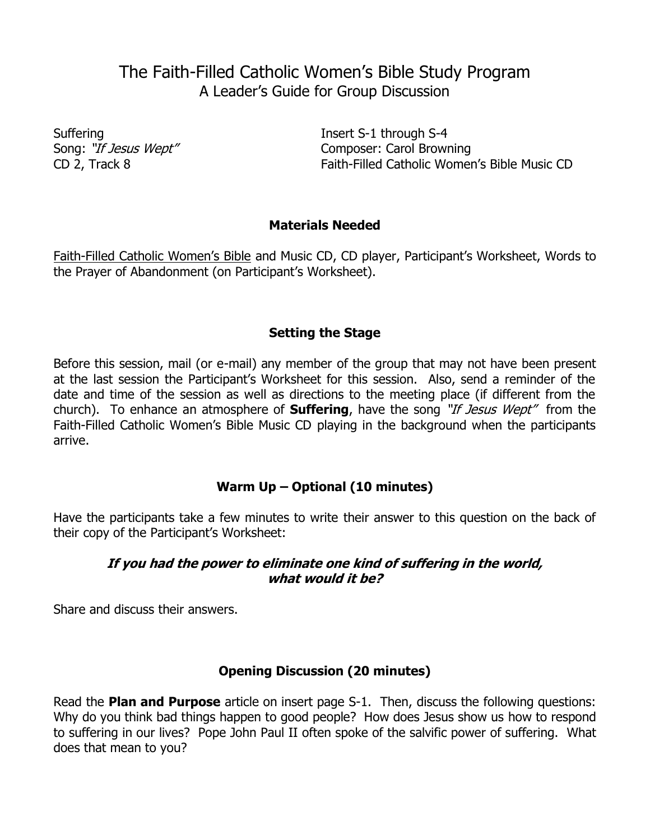# The Faith-Filled Catholic Women's Bible Study Program A Leader's Guide for Group Discussion

Suffering Insert S-1 through S-4 Composer: Carol Browning CD 2, Track 8 Faith-Filled Catholic Women's Bible Music CD

## **Materials Needed**

Faith-Filled Catholic Women's Bible and Music CD, CD player, Participant's Worksheet, Words to the Prayer of Abandonment (on Participant's Worksheet).

## **Setting the Stage**

Before this session, mail (or e-mail) any member of the group that may not have been present at the last session the Participant's Worksheet for this session. Also, send a reminder of the date and time of the session as well as directions to the meeting place (if different from the church). To enhance an atmosphere of **Suffering**, have the song "If Jesus Wept" from the Faith-Filled Catholic Women's Bible Music CD playing in the background when the participants arrive.

# **Warm Up – Optional (10 minutes)**

Have the participants take a few minutes to write their answer to this question on the back of their copy of the Participant's Worksheet:

#### **If you had the power to eliminate one kind of suffering in the world, what would it be?**

Share and discuss their answers.

#### **Opening Discussion (20 minutes)**

Read the **Plan and Purpose** article on insert page S-1. Then, discuss the following questions: Why do you think bad things happen to good people? How does Jesus show us how to respond to suffering in our lives? Pope John Paul II often spoke of the salvific power of suffering. What does that mean to you?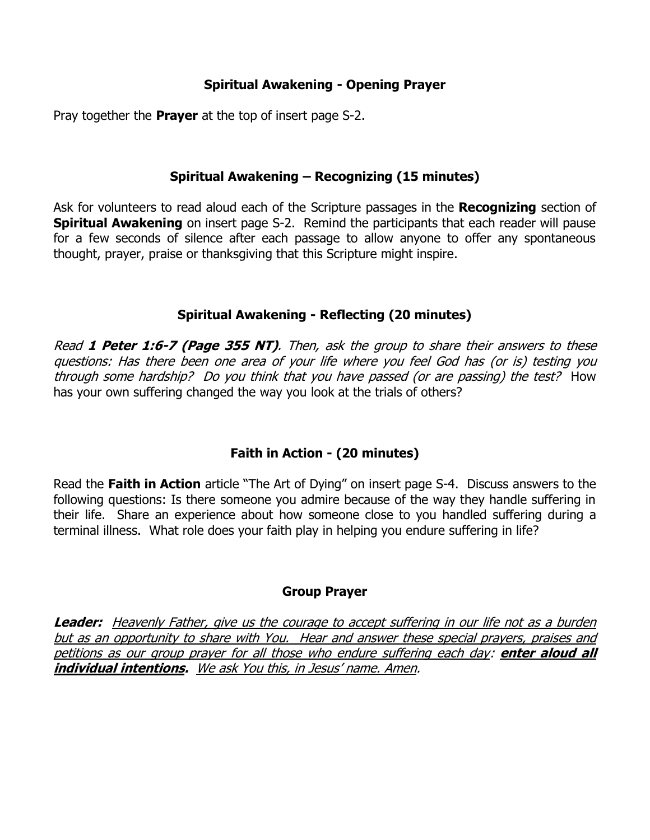## **Spiritual Awakening - Opening Prayer**

Pray together the **Prayer** at the top of insert page S-2.

#### **Spiritual Awakening – Recognizing (15 minutes)**

Ask for volunteers to read aloud each of the Scripture passages in the **Recognizing** section of **Spiritual Awakening** on insert page S-2. Remind the participants that each reader will pause for a few seconds of silence after each passage to allow anyone to offer any spontaneous thought, prayer, praise or thanksgiving that this Scripture might inspire.

#### **Spiritual Awakening - Reflecting (20 minutes)**

Read **1 Peter 1:6-7 (Page 355 NT)**. Then, ask the group to share their answers to these questions: Has there been one area of your life where you feel God has (or is) testing you through some hardship? Do you think that you have passed (or are passing) the test? How has your own suffering changed the way you look at the trials of others?

# **Faith in Action - (20 minutes)**

Read the **Faith in Action** article "The Art of Dying" on insert page S-4. Discuss answers to the following questions: Is there someone you admire because of the way they handle suffering in their life. Share an experience about how someone close to you handled suffering during a terminal illness. What role does your faith play in helping you endure suffering in life?

#### **Group Prayer**

**Leader:** Heavenly Father, give us the courage to accept suffering in our life not as a burden but as an opportunity to share with You. Hear and answer these special prayers, praises and petitions as our group prayer for all those who endure suffering each day: **enter aloud all individual intentions.** We ask You this, in Jesus' name. Amen.